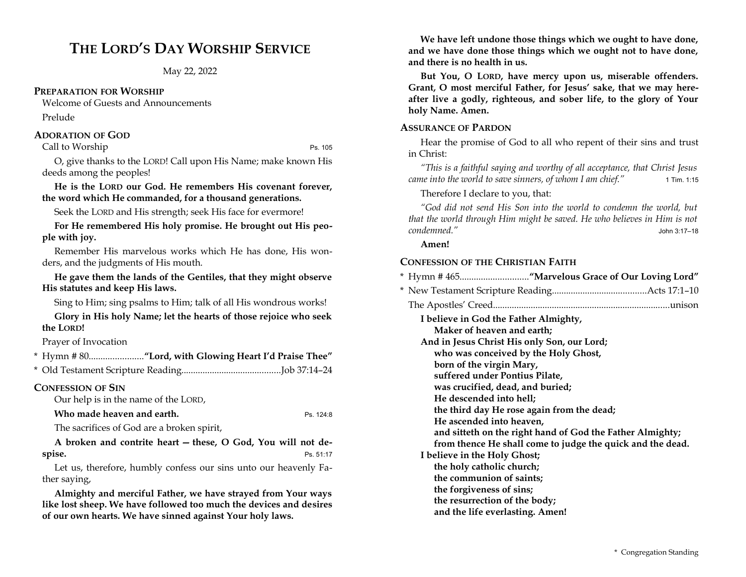# **THE LORD'S DAY WORSHIP SERVICE**

May 22, 2022

## **PREPARATION FOR WORSHIP**

Welcome of Guests and Announcements Prelude

## **ADORATION OF GOD**

Call to Worship Ps. 105

O, give thanks to the LORD! Call upon His Name; make known His deeds among the peoples!

**He is the LORD our God. He remembers His covenant forever, the word which He commanded, for a thousand generations.**

Seek the LORD and His strength; seek His face for evermore!

**For He remembered His holy promise. He brought out His people with joy.**

Remember His marvelous works which He has done, His wonders, and the judgments of His mouth.

**He gave them the lands of the Gentiles, that they might observe His statutes and keep His laws.**

Sing to Him; sing psalms to Him; talk of all His wondrous works!

**Glory in His holy Name; let the hearts of those rejoice who seek the LORD!** 

Prayer of Invocation

## **CONFESSION OF SIN**

Our help is in the name of the LORD,

*Who made heaven and earth.* Ps. 124:8

The sacrifices of God are a broken spirit,

**A broken and contrite heart — these, O God, You will not despise.** Ps. 51:17

Let us, therefore, humbly confess our sins unto our heavenly Father saying,

**Almighty and merciful Father, we have strayed from Your ways like lost sheep. We have followed too much the devices and desires of our own hearts. We have sinned against Your holy laws.** 

**We have left undone those things which we ought to have done, and we have done those things which we ought not to have done, and there is no health in us.**

**But You, O LORD, have mercy upon us, miserable offenders. Grant, O most merciful Father, for Jesus' sake, that we may hereafter live a godly, righteous, and sober life, to the glory of Your holy Name. Amen.**

## **ASSURANCE OF PARDON**

Hear the promise of God to all who repent of their sins and trust in Christ:

*"This is a faithful saying and worthy of all acceptance, that Christ Jesus came into the world to save sinners, of whom I am chief."* 1 Tim. 1:15

Therefore I declare to you, that:

*"God did not send His Son into the world to condemn the world, but that the world through Him might be saved. He who believes in Him is not condemned."* John 3:17–18

## **Amen!**

## **CONFESSION OF THE CHRISTIAN FAITH**

|--|--|--|--|--|--|--|

- \* New Testament Scripture Reading........................................Acts 17:1–10
- The Apostles' Creed...........................................................................unison

**I believe in God the Father Almighty,** 

**Maker of heaven and earth;** 

**And in Jesus Christ His only Son, our Lord;** 

**who was conceived by the Holy Ghost,** 

**born of the virgin Mary,** 

**suffered under Pontius Pilate,** 

**was crucified, dead, and buried;** 

**He descended into hell;** 

**the third day He rose again from the dead;** 

**He ascended into heaven,** 

**and sitteth on the right hand of God the Father Almighty;** 

**from thence He shall come to judge the quick and the dead.** 

**I believe in the Holy Ghost;** 

**the holy catholic church; the communion of saints;** 

- **the forgiveness of sins;**
- **the resurrection of the body;**
- **and the life everlasting. Amen!**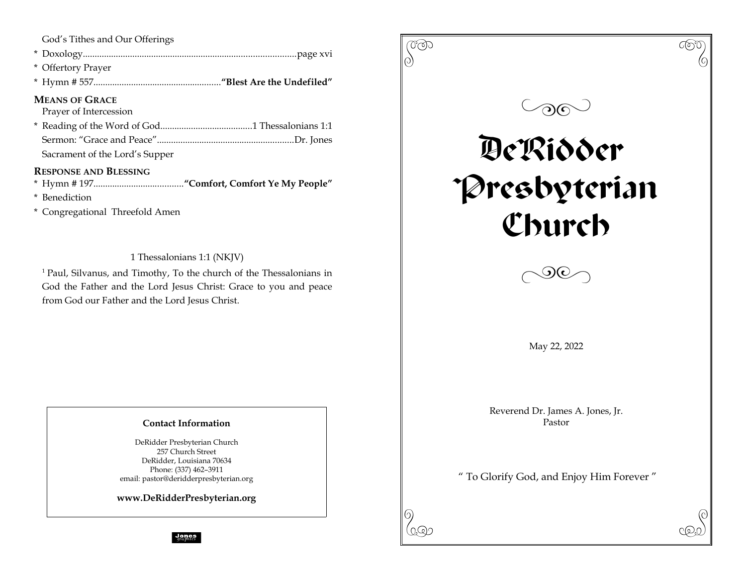|  |  |  |  | God's Tithes and Our Offerings |
|--|--|--|--|--------------------------------|
|--|--|--|--|--------------------------------|

| * Offertory Prayer |
|--------------------|
|                    |

## **MEANS OF GRACE**

Prayer of Intercession

Sacrament of the Lord's Supper

## **RESPONSE AND BLESSING**

\* Hymn # 197......................................**"Comfort, Comfort Ye My People"**

- \* Benediction
- \* Congregational Threefold Amen

1 Thessalonians 1:1 (NKJV)

<sup>1</sup> Paul, Silvanus, and Timothy, To the church of the Thessalonians in God the Father and the Lord Jesus Christ: Grace to you and peace from God our Father and the Lord Jesus Christ.

## **Contact Information**

DeRidder Presbyterian Church 257 Church Street DeRidder, Louisiana 70634 Phone: (337) 462–3911 email: pastor@deridderpresbyterian.org

**www.DeRidderPresbyterian.org**

 $\begin{pmatrix} 0 & 0 & 0 \ 0 & 0 & 0 \end{pmatrix}$  $\circledcirc$ DeRidder Presbyterian Church  $\Diamond$ May 22, 2022 Reverend Dr. James A. Jones, Jr. Pastor " To Glorify God, and Enjoy Him Forever "  $\mathcal{P}(\mathcal{P})$ 

graphics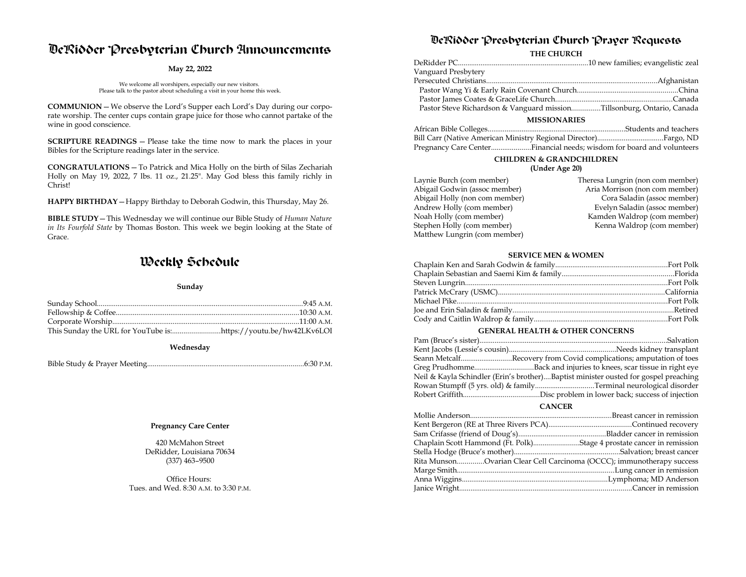# DeRidder Presbyterian Church Announcements

### **May 22, 2022**

We welcome all worshipers, especially our new visitors. Please talk to the pastor about scheduling a visit in your home this week.

**COMMUNION**—We observe the Lord's Supper each Lord's Day during our corporate worship. The center cups contain grape juice for those who cannot partake of the wine in good conscience.

**SCRIPTURE READINGS** — Please take the time now to mark the places in your Bibles for the Scripture readings later in the service.

**CONGRATULATIONS**—To Patrick and Mica Holly on the birth of Silas Zechariah Holly on May 19, 2022, 7 lbs. 11 oz., 21.25". May God bless this family richly in Christ!

**HAPPY BIRTHDAY**—Happy Birthday to Deborah Godwin, this Thursday, May 26.

**BIBLE STUDY**—This Wednesday we will continue our Bible Study of *Human Nature in Its Fourfold State* by Thomas Boston. This week we begin looking at the State of Grace.

# Weekly Schedule

#### **Sunday**

| This Sunday the URL for YouTube is:https://youtu.be/hw42LKv6LOI |  |
|-----------------------------------------------------------------|--|

**Wednesday**

Bible Study & Prayer Meeting...................................................................................6:30 P.M.

### **Pregnancy Care Center**

420 McMahon Street DeRidder, Louisiana 70634 (337) 463–9500

Office Hours: Tues. and Wed. 8:30 A.M. to 3:30 P.M.

## DeRidder Presbyterian Church Prayer Requests

**THE CHURCH**

| Vanguard Presbytery                                                    |  |  |  |
|------------------------------------------------------------------------|--|--|--|
|                                                                        |  |  |  |
|                                                                        |  |  |  |
|                                                                        |  |  |  |
| Pastor Steve Richardson & Vanguard missionTillsonburg, Ontario, Canada |  |  |  |
| <b>MISSIONARIES</b>                                                    |  |  |  |

| Pregnancy Care CenterFinancial needs; wisdom for board and volunteers |
|-----------------------------------------------------------------------|

## **CHILDREN & GRANDCHILDREN**

### **(Under Age 20)**

| Theresa Lungrin (non com member) |
|----------------------------------|
| Aria Morrison (non com member)   |
| Cora Saladin (assoc member)      |
| Evelyn Saladin (assoc member)    |
| Kamden Waldrop (com member)      |
| Kenna Waldrop (com member)       |
|                                  |
|                                  |

### **SERVICE MEN & WOMEN**

### **GENERAL HEALTH & OTHER CONCERNS**

| Seann MetcalfRecovery from Covid complications; amputation of toes                  |
|-------------------------------------------------------------------------------------|
|                                                                                     |
| Neil & Kayla Schindler (Erin's brother)Baptist minister ousted for gospel preaching |
|                                                                                     |
|                                                                                     |
|                                                                                     |

**CANCER**

| Chaplain Scott Hammond (Ft. Polk)Stage 4 prostate cancer in remission |  |
|-----------------------------------------------------------------------|--|
|                                                                       |  |
| Rita MunsonOvarian Clear Cell Carcinoma (OCCC); immunotherapy success |  |
|                                                                       |  |
|                                                                       |  |
|                                                                       |  |